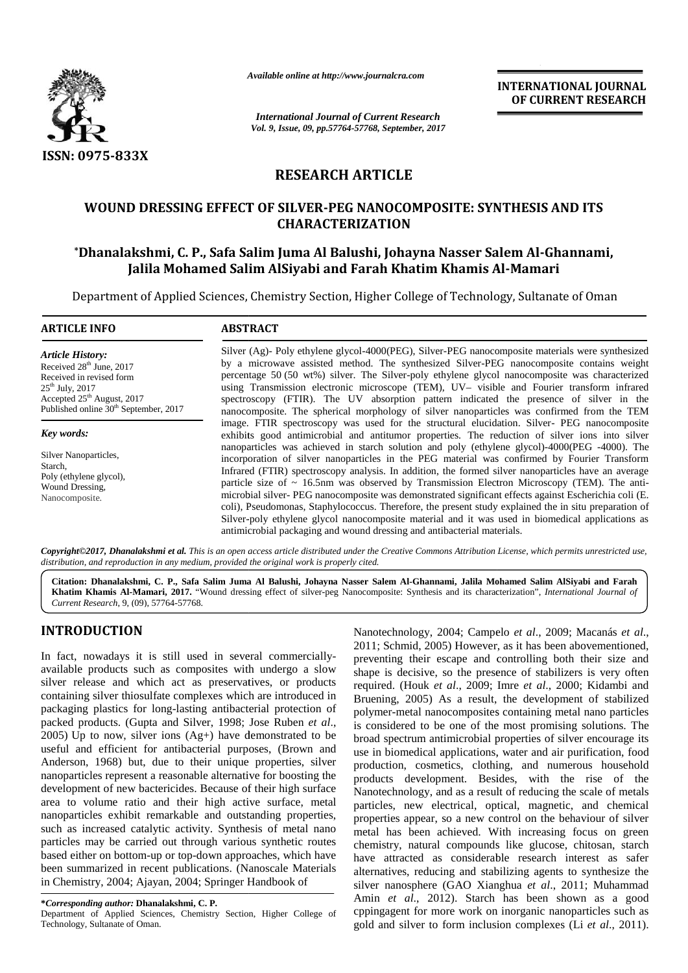

*Available online at http://www.journalcra.com*

*International Journal of Current Research Vol. 9, Issue, 09, pp.57764-57768, September, 2017* **INTERNATIONAL JOURNAL OF CURRENT RESEARCH**

## **RESEARCH ARTICLE**

## **WOUND DRESSING EFFECT OF SILVER-PEG NANOCOMPOSITE: SYNTHESIS AND ITS CHARACTERIZATION**

# **\*Dhanalakshmi, C. P., Safa Salim Juma Al Balushi, Johayna Nasser Salem Al-Ghannami, Jalila Mohamed Salim AlSiyabi and Farah Khatim Khamis Al-Mamari** D DRESSING EFFECT OF SILVER-PEG NANOCOMPOSITE: SY<br>CHARACTERIZATION<br>Ikshmi, C. P., Safa Salim Juma Al Balushi, Johayna Nasser S<br>Jalila Mohamed Salim AlSiyabi and Farah Khatim Khamis

Department of Applied Sciences, Chemistry Section, Higher College of Technology, Sultanate of Oman

# **ARTICLE INFO ABSTRACT ARTICLE ABSTRACT**

*Article History:* Received  $28<sup>th</sup>$  June, 2017 Received in revised form  $25<sup>th</sup>$  July,  $2017$ Accepted 25<sup>th</sup> August, 2017 Published online 30<sup>th</sup> September, 2017

*Key words:*

Silver Nanoparticles, Starch, Poly (ethylene glycol), Wound Dressing, Nanocomposite.

Silver (Ag)- Poly ethylene glycol-4000(PEG), Silver-PEG nanocomposite materials were synthesized by a microwave assisted method. The synthesized Silver-PEG nanocomposite contains weight percentage 50 (50 wt%) silver. The Silver-poly ethylene glycol nanocomposite was characterized by a microwave assisted method. The synthesized Silver-PEG nanocomposite contains weight percentage 50 (50 wt%) silver. The Silver-poly ethylene glycol nanocomposite was characterized using Transmission electronic microsco spectroscopy (FTIR). The UV absorption pattern indicated the presence of silver in the nanocomposite. The spherical morphology of silver nanoparticles was confirmed from the TEM image. FTIR spectroscopy was used for the structural elucidation. Silver- PEG nanocomposite exhibits good antimicrobial and antitumor properties. The reduction of silver ions into silver nanoparticles was achieved in starch solution and poly (ethylene glycol)-4000(PEG -4000). The incorporation of silver nanoparticles in the PEG material was confirmed by Fourier Transform Infrared (FTIR) spectroscopy analysis. In addition, the formed silver nanoparticles have an average particle size of  $\sim 16.5$ nm was observed by Transmission Electron Microscopy (TEM). The antimicrobial silver- PEG nanocomposite was demonstrated significant effects against Escherichia coli (E. coli), Pseudomonas, Staphylococcus. Therefore, the present study explained the in situ preparation of Silver-poly ethylene glycol nanocomposite material and it was used in biomedical applications as antimicrobial packaging and wound dressing and antibacterial materials. spectroscopy (FTIR). The UV absorption pattern indicated the presence of silver in the nanocomposite. The spherical morphology of silver nanoparticles was confirmed from the TEM image. FTIR spectroscopy was used for the s microbial silver- PEG nanocomposite was demonstrated significant effects agains<br>coli), Pseudomonas, Staphylococcus. Therefore, the present study explained the<br>Silver-poly ethylene glycol nanocomposite material and it was u Analishe online at http://www.journalcra.com<br>
World Schuring Contract Research<br>
You, 2, Linux (29, pp.57764-57168, September, 2017<br>
TS-833X<br>
RESEARCH ARTICLE<br>
OUND DRESSING EFFECT OF SILVER-PEG NANOCOMPOSITE: SYNTHESIS AN was confirmed from the TEM<br>n. Silver- PEG nanocomposite<br>tion of silver ions into silver<br>glycol)-4000(PEG -4000). The<br>nfirmed by Fourier Transform<br>r nanoparticles have an average<br>Microscopy (TEM). The anti-<br>fects against Es

**Copyright©2017, Dhanalakshmi et al.** This is an open access article distributed under the Creative Commons Attribution License, which permits unrestricted use,<br>distribution, and reproduction in any medium, provided the or

Citation: Dhanalakshmi, C. P., Safa Salim Juma Al Balushi, Johayna Nasser Salem Al-Ghannami, Jalila Mohamed Salim AlSiyabi and Farah | **Khatim Khamis Al-Mamari, 2017.** "Wound dressing effect of silver-peg Nanocomposite: Synthesis and its characterization", *International Journal of Current Research*, 9, (09), 57764-57768.

## **INTRODUCTION INTRODUCTION**

In fact, nowadays it is still used in several commercially available products such as composites with undergo a slow  $\frac{1}{\text{shape}}$  is silver release and which act as preservatives, or products containing silver thiosulfate complexes which are introduced in packaging plastics for long-lasting antibacterial protection of packaging plastics for long-lasting antibacterial protection of packed products. (Gupta and Silver, 1998; Jose Ruben *et al.*,  $2005$ ) Up to now, silver ions  $(Ag+)$  have demonstrated to be 2005) Up to now, silver ions  $(Ag+)$  have demonstrated to be broad useful and efficient for antibacterial purposes, (Brown and use in Anderson, 1968) but, due to their unique properties, silver nanoparticles represent a reasonable alternative for boosting the development of new bactericides. Because of their high surface area to volume ratio and their high active surface, metal nanoparticles exhibit remarkable and outstanding properties, such as increased catalytic activity. Synthesis of metal nano particles may be carried out through various synthetic routes based either on bottom-up or top-down approaches, which have been summarized in recent publications. (Nanoscale Materials in Chemistry, 2004; Ajayan, 2004; Springer Handbook of In fact, nowadays it is still used in several commercially-<br>available products such as composites with undergo a slow shape<br>silver release and which act as preservatives, or products requi-<br>containing silver thiosulfate co Anderson, 1968) but, due to their unique properties nanoparticles represent a reasonable alternative for boos development of new bactericides. Because of their high area to volume ratio and their high active surface, nanop

Department of Applied Sciences, Chemistry Section, Higher College of Technology, Sultanate of Oman.

Nanotechnology, 2004; Campelo *et al*., 2009; Macanás *et al*., 2011; Schmid, 2005) However, as it has been abovementioned, preventing their escape and controlling both their size and shape is decisive, so the presence of stabilizers is very often required. (Houk *et al*., 2009; Imre *et al*., 2000; Kidambi and Bruening, 2005) As a result, the development of stabilized polymer-metal nanocomposites containing metal nano particles is considered to be one of the most promising solutions. The broad spectrum antimicrobial properties of silver encourage its use in biomedical applications, water and air purification, food production, cosmetics, clothing, and numerous household products development. Besides, with the rise of the Nanotechnology, and as a result of reducing the scale of metals particles, new electrical, optical, magnetic, and chemical properties appear, so a new control on the behaviour of silver metal has been achieved. With increasing focus on green chemistry, natural compounds like glucose, chitosan, starch have attracted as considerable research interest as safer alternatives, reducing and stabilizing agents to synthesize the silver nanosphere (GAO Xianghua *et al*., 2011; Muhammad Amin *et al*., 2012). Starch has been shown as a good cppingagent for more work on inorganic nanoparticles such as gold and silver to form inclusion complexes (Li *et al*., 2011). **EXERCIT ARTICLE INTO A CONSUMER CONSUMERATE AND INTERNATIONAL CONSUMER TRISEARCH (CONSUMER TRISEARCH NETTLE ASSOCIATES AND ITS SERVICE AND THE MAIN CONSUMER TRISEARCH NETTLE WOOD INTO THE SERVICE AND THE MAIN CONSUMER TR** r products required. (Houk *et al.*, 2009; Imre *et al.*, 2<br>roduced in Bruening, 2005) As a result, the develop<br>potection of polymer-metal nanocomposites containing r<br>ben *et al.*, is considered to be one of the most promi

**<sup>\*</sup>Corresponding author: Dhanalakshmi, C. P.**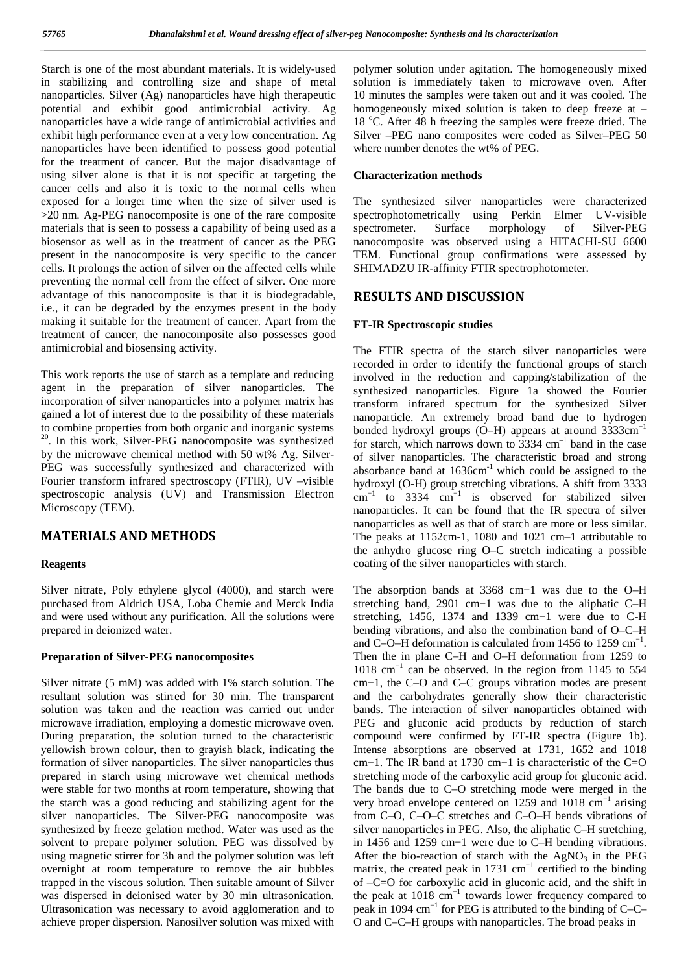Starch is one of the most abundant materials. It is widely-used in stabilizing and controlling size and shape of metal nanoparticles. Silver (Ag) nanoparticles have high therapeutic potential and exhibit good antimicrobial activity. Ag nanoparticles have a wide range of antimicrobial activities and exhibit high performance even at a very low concentration. Ag nanoparticles have been identified to possess good potential for the treatment of cancer. But the major disadvantage of using silver alone is that it is not specific at targeting the cancer cells and also it is toxic to the normal cells when exposed for a longer time when the size of silver used is >20 nm. Ag-PEG nanocomposite is one of the rare composite materials that is seen to possess a capability of being used as a spectrometer. biosensor as well as in the treatment of cancer as the PEG present in the nanocomposite is very specific to the cancer cells. It prolongs the action of silver on the affected cells while preventing the normal cell from the effect of silver. One more advantage of this nanocomposite is that it is biodegradable, i.e., it can be degraded by the enzymes present in the body making it suitable for the treatment of cancer. Apart from the treatment of cancer, the nanocomposite also possesses good antimicrobial and biosensing activity.

This work reports the use of starch as a template and reducing agent in the preparation of silver nanoparticles. The incorporation of silver nanoparticles into a polymer matrix has gained a lot of interest due to the possibility of these materials to combine properties from both organic and inorganic systems <sup>20</sup>. In this work, Silver-PEG nanocomposite was synthesized for s by the microwave chemical method with 50 wt% Ag. Silver- PEG was successfully synthesized and characterized with Fourier transform infrared spectroscopy (FTIR), UV –visible spectroscopic analysis (UV) and Transmission Electron Microscopy (TEM).

### **MATERIALS AND METHODS**

#### **Reagents**

Silver nitrate, Poly ethylene glycol (4000), and starch were purchased from Aldrich USA, Loba Chemie and Merck India and were used without any purification. All the solutions were prepared in deionized water.

#### **Preparation of Silver-PEG nanocomposites**

Silver nitrate (5 mM) was added with 1% starch solution. The resultant solution was stirred for 30 min. The transparent solution was taken and the reaction was carried out under microwave irradiation, employing a domestic microwave oven. During preparation, the solution turned to the characteristic yellowish brown colour, then to grayish black, indicating the formation of silver nanoparticles. The silver nanoparticles thus prepared in starch using microwave wet chemical methods were stable for two months at room temperature, showing that the starch was a good reducing and stabilizing agent for the silver nanoparticles. The Silver-PEG nanocomposite was synthesized by freeze gelation method. Water was used as the solvent to prepare polymer solution. PEG was dissolved by using magnetic stirrer for 3h and the polymer solution was left overnight at room temperature to remove the air bubbles trapped in the viscous solution. Then suitable amount of Silver was dispersed in deionised water by 30 min ultrasonication. Ultrasonication was necessary to avoid agglomeration and to achieve proper dispersion. Nanosilver solution was mixed with

polymer solution under agitation. The homogeneously mixed solution is immediately taken to microwave oven. After 10 minutes the samples were taken out and it was cooled. The homogeneously mixed solution is taken to deep freeze at – 18 °C. After 48 h freezing the samples were freeze dried. The Silver –PEG nano composites were coded as Silver–PEG 50 where number denotes the wt% of PEG.

#### **Characterization methods**

The synthesized silver nanoparticles were characterized spectrophotometrically using Perkin Elmer UV-visible Surface morphology of Silver-PEG nanocomposite was observed using a HITACHI-SU 6600 TEM. Functional group confirmations were assessed by SHIMADZU IR-affinity FTIR spectrophotometer.

#### **RESULTS AND DISCUSSION**

#### **FT-IR Spectroscopic studies**

The FTIR spectra of the starch silver nanoparticles were recorded in order to identify the functional groups of starch involved in the reduction and capping/stabilization of the synthesized nanoparticles. Figure 1a showed the Fourier transform infrared spectrum for the synthesized Silver nanoparticle. An extremely broad band due to hydrogen bonded hydroxyl groups  $(O-H)$  appears at around 3333cm<sup>-1</sup> for starch, which narrows down to  $3334 \text{ cm}^{-1}$  band in the case of silver nanoparticles. The characteristic broad and strong absorbance band at  $1636 \text{cm}^{-1}$  which could be assigned to the hydroxyl (O-H) group stretching vibrations. A shift from 3333  $cm^{-1}$  to 3334  $cm^{-1}$  is observed for stabilized silver nanoparticles. It can be found that the IR spectra of silver nanoparticles as well as that of starch are more or less similar. The peaks at 1152cm-1, 1080 and 1021 cm–1 attributable to the anhydro glucose ring O–C stretch indicating a possible coating of the silver nanoparticles with starch.

The absorption bands at 3368 cm−1 was due to the O–H stretching band, 2901 cm−1 was due to the aliphatic C–H stretching, 1456, 1374 and 1339 cm−1 were due to C-H bending vibrations, and also the combination band of O–C–H and C–O–H deformation is calculated from 1456 to 1259  $cm^{-1}$ . Then the in plane C–H and O–H deformation from 1259 to 1018 cm−1 can be observed. In the region from 1145 to 554 cm−1, the C–O and C–C groups vibration modes are present and the carbohydrates generally show their characteristic bands. The interaction of silver nanoparticles obtained with PEG and gluconic acid products by reduction of starch compound were confirmed by FT-IR spectra (Figure 1b). Intense absorptions are observed at 1731, 1652 and 1018 cm−1. The IR band at 1730 cm−1 is characteristic of the C=O stretching mode of the carboxylic acid group for gluconic acid. The bands due to C–O stretching mode were merged in the very broad envelope centered on 1259 and 1018 cm−1 arising from C–O, C–O–C stretches and C–O–H bends vibrations of silver nanoparticles in PEG. Also, the aliphatic C–H stretching, in 1456 and 1259 cm−1 were due to C–H bending vibrations. After the bio-reaction of starch with the  $AgNO<sub>3</sub>$  in the PEG matrix, the created peak in 1731  $cm^{-1}$  certified to the binding of –C=O for carboxylic acid in gluconic acid, and the shift in the peak at  $1018 \text{ cm}^{-1}$  towards lower frequency compared to peak in 1094 cm−1 for PEG is attributed to the binding of C–C– O and C–C–H groups with nanoparticles. The broad peaks in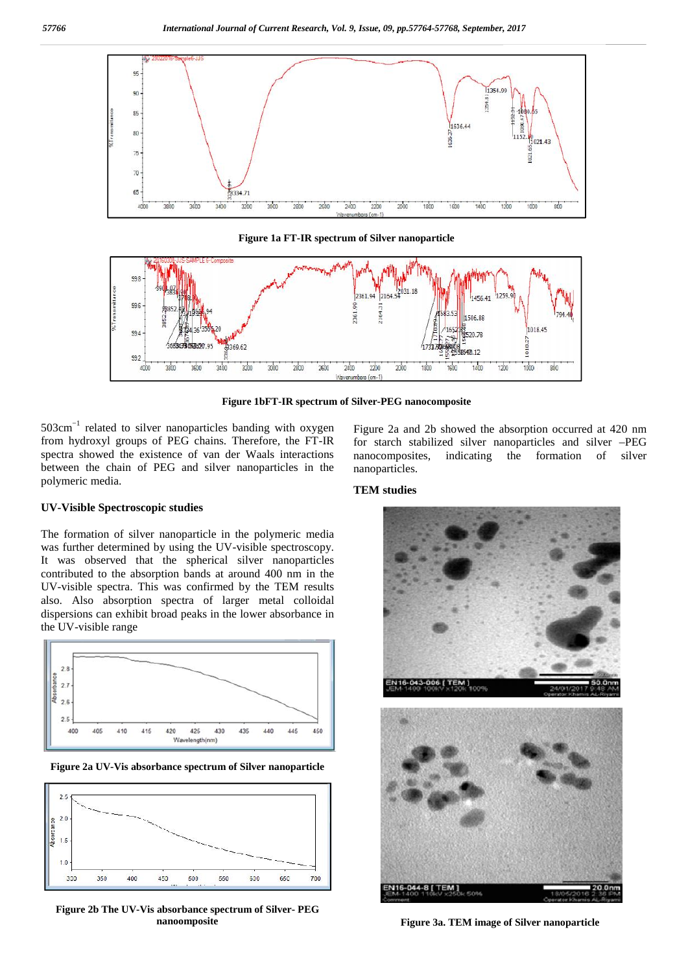

**Figure 1a FT-IR spectrum of Silver nanoparticle**



**Figure 1bFT-IR spectrum of Silver-PEG nanocomposite**

503cm−1 related to silver nanoparticles banding with oxygen from hydroxyl groups of PEG chains. Therefore, the FT-IR spectra showed the existence of van der Waals interactions between the chain of PEG and silver nanoparticles in the polymeric media.

#### **UV-Visible Spectroscopic studies**

The formation of silver nanoparticle in the polymeric media was further determined by using the UV-visible spectroscopy. It was observed that the spherical silver nanoparticles contributed to the absorption bands at around 400 nm in the UV-visible spectra. This was confirmed by the TEM results also. Also absorption spectra of larger metal colloidal dispersions can exhibit broad peaks in the lower absorbance in the UV-visible range



**Figure 2a UV-Vis absorbance spectrum of Silver nanoparticle**



**Figure 2b The UV-Vis absorbance spectrum of Silver- PEG nanoomposite**

Figure 2a and 2b showed the absorption occurred at 420 nm for starch stabilized silver nanoparticles and silver –PEG nanocomposites, indicating the formation of silver nanoparticles.

#### **TEM studies**



**Figure 3a.TEM image of Silver nanoparticle**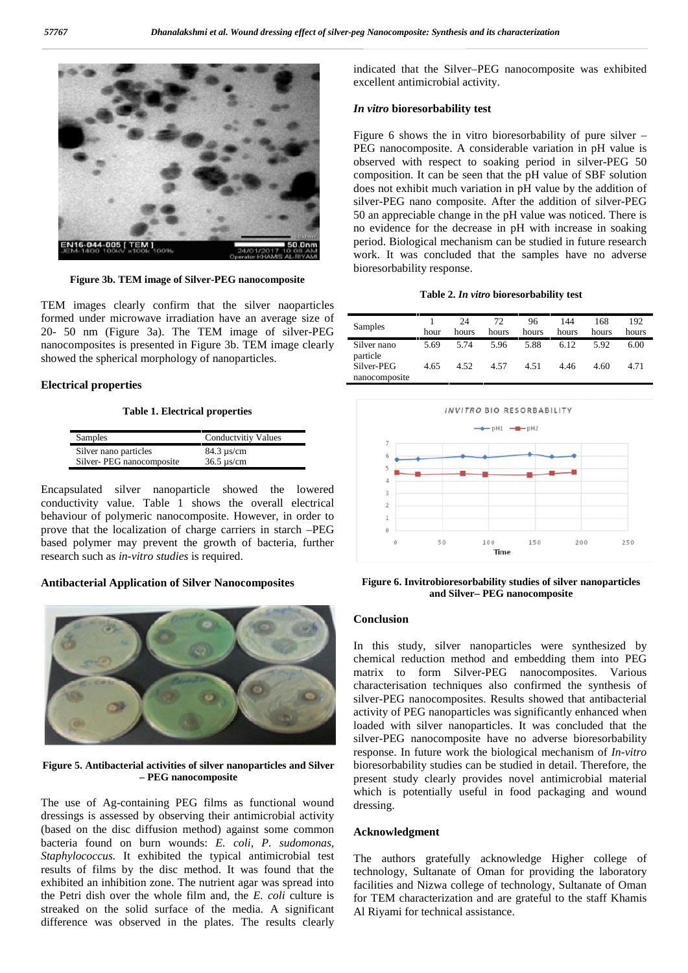

**Figure 3b. TEM image of Silver-PEG nanocomposite**

TEM images clearly confirm that the silver naoparticles formed under microwave irradiation have an average size of 20- 50 nm (Figure 3a). The TEM image of silver-PEG nanocomposites is presented in Figure 3b. TEM image clearly showed the spherical morphology of nanoparticles.

#### **Electrical properties**

#### **Table 1. Electrical properties**

| Samples                  | <b>Conductvitiv Values</b>   |
|--------------------------|------------------------------|
| Silver nano particles    | $84.3 \text{ us/cm}$         |
| Silver-PEG nanocomposite | $36.5 \,\mathrm{\upmu s/cm}$ |

Encapsulated silver nanoparticle showed the lowered conductivity value. Table 1 shows the overall electrical behaviour of polymeric nanocomposite. However, in order to prove that the localization of charge carriers in starch –PEG based polymer may prevent the growth of bacteria, further research such as *in-vitro studies* is required.

#### **Antibacterial Application of Silver Nanocomposites**



**Figure 5. Antibacterial activities of silver nanoparticles and Silver – PEG nanocomposite**

The use of Ag-containing PEG films as functional wound dressings is assessed by observing their antimicrobial activity (based on the disc diffusion method) against some common bacteria found on burn wounds: *E. coli, P. sudomonas, Staphylococcus.* It exhibited the typical antimicrobial test results of films by the disc method. It was found that the exhibited an inhibition zone. The nutrient agar was spread into the Petri dish over the whole film and, the *E. coli* culture is streaked on the solid surface of the media. A significant difference was observed in the plates. The results clearly

indicated that the Silver–PEG nanocomposite was exhibited excellent antimicrobial activity.

#### *In vitro* **bioresorbability test**

Figure 6 shows the in vitro bioresorbability of pure silver – PEG nanocomposite. A considerable variation in pH value is observed with respect to soaking period in silver-PEG 50 composition. It can be seen that the pH value of SBF solution does not exhibit much variation in pH value by the addition of silver-PEG nano composite. After the addition of silver-PEG 50 an appreciable change in the pH value was noticed. There is no evidence for the decrease in pH with increase in soaking period. Biological mechanism can be studied in future research work. It was concluded that the samples have no adverse bioresorbability response.

#### **Table 2.** *In vitro* **bioresorbability test**

| Samples                     | hour | 24<br>hours | 72<br>hours | 96<br>hours | 144<br>hours | 168<br>hours | 192<br>hours |
|-----------------------------|------|-------------|-------------|-------------|--------------|--------------|--------------|
| Silver nano<br>particle     | 5.69 | 5.74        | 5.96        | 5.88        | 6.12         | 5.92         | 6.00         |
| Silver-PEG<br>nanocomposite | 4.65 | 4.52        | 4.57        | 4.51        | 4.46         | 4.60         | 4.71         |



**Figure 6. Invitrobioresorbability studies of silver nanoparticles and Silver– PEG nanocomposite**

#### **Conclusion**

In this study, silver nanoparticles were synthesized by chemical reduction method and embedding them into PEG matrix to form Silver-PEG nanocomposites. Various characterisation techniques also confirmed the synthesis of silver-PEG nanocomposites. Results showed that antibacterial activity of PEG nanoparticles was significantly enhanced when loaded with silver nanoparticles. It was concluded that the silver-PEG nanocomposite have no adverse bioresorbability response. In future work the biological mechanism of *In-vitro* bioresorbability studies can be studied in detail. Therefore, the present study clearly provides novel antimicrobial material which is potentially useful in food packaging and wound dressing.

#### **Acknowledgment**

The authors gratefully acknowledge Higher college of technology, Sultanate of Oman for providing the laboratory facilities and Nizwa college of technology, Sultanate of Oman for TEM characterization and are grateful to the staff Khamis Al Riyami for technical assistance.